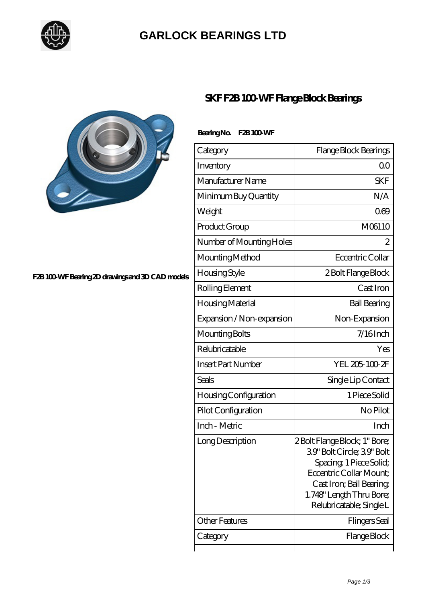

### **[GARLOCK BEARINGS LTD](https://m.letterstopriests.com)**



#### **[F2B 100-WF Bearing 2D drawings and 3D CAD models](https://m.letterstopriests.com/pic-188924.html)**

### **[SKF F2B 100-WF Flange Block Bearings](https://m.letterstopriests.com/aw-188924-skf-f2b-100-wf-flange-block-bearings.html)**

#### Bearing No. F2B 100 WF

| Category                  | Flange Block Bearings                                                                                                                                                                                |
|---------------------------|------------------------------------------------------------------------------------------------------------------------------------------------------------------------------------------------------|
| Inventory                 | Q0                                                                                                                                                                                                   |
| Manufacturer Name         | <b>SKF</b>                                                                                                                                                                                           |
| Minimum Buy Quantity      | N/A                                                                                                                                                                                                  |
| Weight                    | 069                                                                                                                                                                                                  |
| Product Group             | M06110                                                                                                                                                                                               |
| Number of Mounting Holes  | 2                                                                                                                                                                                                    |
| Mounting Method           | Eccentric Collar                                                                                                                                                                                     |
| Housing Style             | 2 Bolt Flange Block                                                                                                                                                                                  |
| Rolling Element           | Cast Iron                                                                                                                                                                                            |
| Housing Material          | <b>Ball Bearing</b>                                                                                                                                                                                  |
| Expansion / Non-expansion | Non-Expansion                                                                                                                                                                                        |
| Mounting Bolts            | $7/16$ Inch                                                                                                                                                                                          |
| Relubricatable            | Yes                                                                                                                                                                                                  |
| <b>Insert Part Number</b> | YEL 205-100-2F                                                                                                                                                                                       |
| Seals                     | Single Lip Contact                                                                                                                                                                                   |
| Housing Configuration     | 1 Piece Solid                                                                                                                                                                                        |
| Pilot Configuration       | No Pilot                                                                                                                                                                                             |
| Inch - Metric             | Inch                                                                                                                                                                                                 |
| Long Description          | 2 Bolt Flange Block; 1" Bore;<br>39' Bolt Circle; 39' Bolt<br>Spacing, 1 Piece Solid;<br>Eccentric Collar Mount:<br>Cast Iron; Ball Bearing,<br>1.748" Length Thru Bore;<br>Relubricatable; Single L |
| Other Features            | Flingers Seal                                                                                                                                                                                        |
| Category                  | Flange Block                                                                                                                                                                                         |
|                           |                                                                                                                                                                                                      |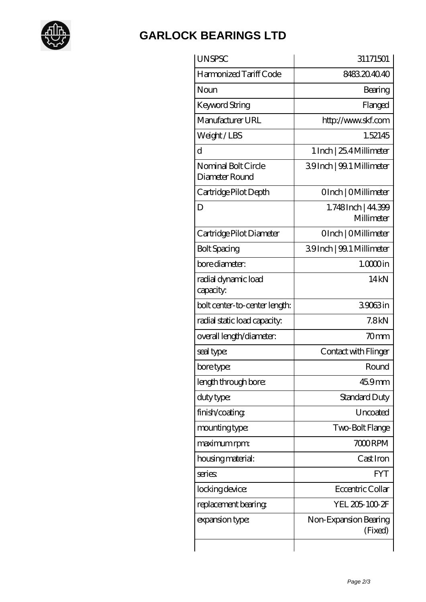

## **[GARLOCK BEARINGS LTD](https://m.letterstopriests.com)**

| <b>UNSPSC</b>                         | 31171501                         |
|---------------------------------------|----------------------------------|
| Harmonized Tariff Code                | 8483204040                       |
| Noun                                  | Bearing                          |
| <b>Keyword String</b>                 | Flanged                          |
| Manufacturer URL                      | http://www.skf.com               |
| Weight/LBS                            | 1.52145                          |
| d                                     | 1 Inch   25.4 Millimeter         |
| Nominal Bolt Circle<br>Diameter Round | 39Inch   99.1 Millimeter         |
| Cartridge Pilot Depth                 | OInch   OMillimeter              |
| D                                     | 1.748Inch   44.399<br>Millimeter |
| Cartridge Pilot Diameter              | OInch   OMillimeter              |
| <b>Bolt Spacing</b>                   | 39Inch   99.1 Millimeter         |
| bore diameter:                        | $1.0000$ in                      |
| radial dynamic load<br>capacity:      | 14kN                             |
| bolt center-to-center length:         | 39063in                          |
| radial static load capacity:          | 7.8 <sub>kN</sub>                |
| overall length/diameter:              | 70 <sub>mm</sub>                 |
| seal type:                            | Contact with Flinger             |
| bore type:                            | Round                            |
| length through bore:                  | 45.9mm                           |
| duty type:                            | Standard Duty                    |
| finish/coating                        | Uncoated                         |
| mounting type:                        | Two-Bolt Flange                  |
| maximum rpm:                          | 7000RPM                          |
| housing material:                     | Cast Iron                        |
| series:                               | <b>FYT</b>                       |
| locking device:                       | Eccentric Collar                 |
| replacement bearing                   | YEL 205-100-2F                   |
| expansion type:                       | Non-Expansion Bearing<br>(Fixed) |
|                                       |                                  |